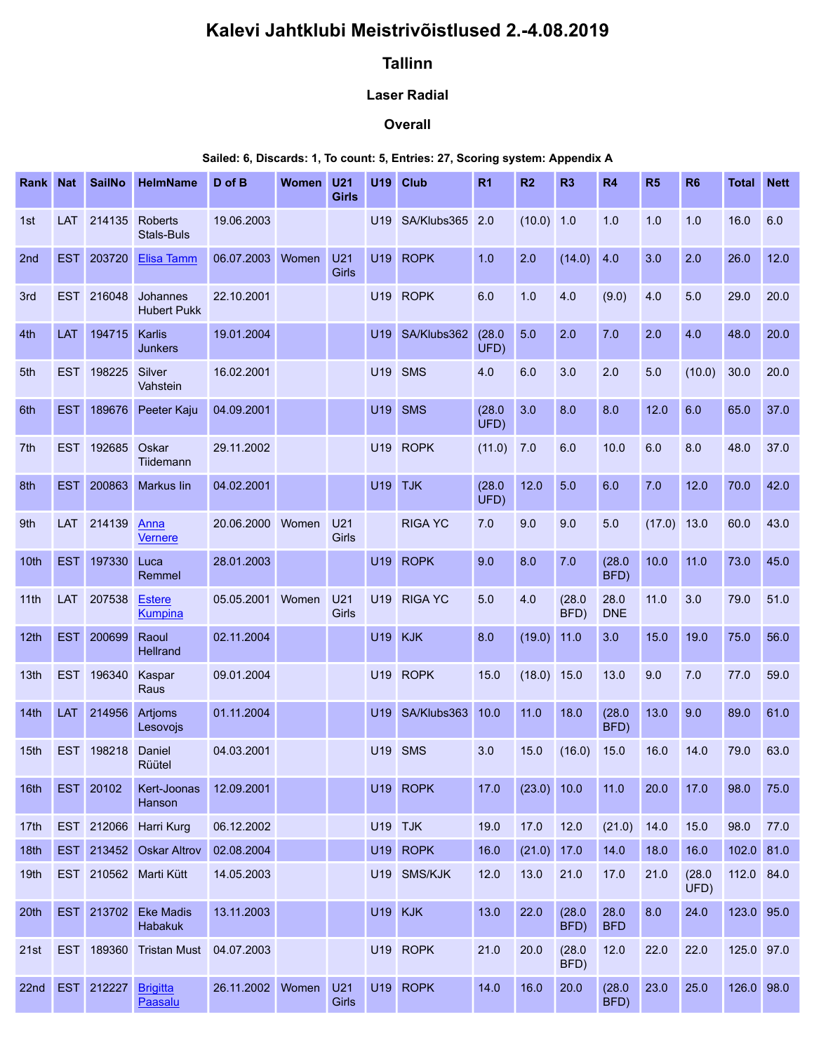# Kalevi Jahtklubi Meistrivõistlused 2.-4.08.2019

## Tallinn

### Laser Radial

#### **Overall**

### Sailed: 6, Discards: 1, To count: 5, Entries: 27, Scoring system: Appendix A

|              |                          |                         |                                                          |                                    |           |              |         | Kalevi Jahtklubi Meistrivõistlused 2.-4.08.2019                                          |                |                       |                |                      |               |                |                          |             |
|--------------|--------------------------|-------------------------|----------------------------------------------------------|------------------------------------|-----------|--------------|---------|------------------------------------------------------------------------------------------|----------------|-----------------------|----------------|----------------------|---------------|----------------|--------------------------|-------------|
|              |                          |                         |                                                          |                                    |           |              |         |                                                                                          |                |                       |                |                      |               |                |                          |             |
|              |                          |                         |                                                          |                                    |           |              |         | <b>Tallinn</b>                                                                           |                |                       |                |                      |               |                |                          |             |
|              |                          |                         |                                                          |                                    |           |              |         | <b>Laser Radial</b>                                                                      |                |                       |                |                      |               |                |                          |             |
|              |                          |                         |                                                          |                                    |           |              |         | Overall                                                                                  |                |                       |                |                      |               |                |                          |             |
| Rank Nat     |                          | <b>SailNo</b>           | <b>HelmName</b>                                          | D of B                             | Women U21 |              |         | Sailed: 6, Discards: 1, To count: 5, Entries: 27, Scoring system: Appendix A<br>U19 Club | R <sub>1</sub> | R2                    | R <sub>3</sub> | <b>R4</b>            | <b>R5</b>     | R <sub>6</sub> | <b>Total Nett</b>        |             |
|              |                          |                         |                                                          |                                    |           | <b>Girls</b> |         |                                                                                          |                |                       |                |                      |               |                |                          |             |
| 1st<br>2nd   | <b>LAT</b><br><b>EST</b> | 214135<br>203720        | <b>Roberts</b><br><b>Stals-Buls</b><br><b>Elisa Tamm</b> | 19.06.2003<br>06.07.2003 Women U21 |           |              |         | U19 SA/Klubs365 2.0<br>U19 ROPK                                                          | 1.0            | (10.0) 1.0<br>2.0     | $(14.0)$ 4.0   | 1.0                  | 1.0<br>3.0    | 1.0<br>2.0     | 16.0<br>26.0             | 6.0<br>12.0 |
| 3rd          | <b>EST</b>               | 216048                  | Johannes<br><b>Hubert Pukk</b>                           | 22.10.2001                         |           | Girls        |         | U19 ROPK                                                                                 | 6.0            | 1.0                   | 4.0            | (9.0)                | 4.0           | 5.0            | 29.0                     | 20.0        |
| 4th          | LAT                      | 194715                  | Karlis<br>Junkers                                        | 19.01.2004                         |           |              |         | U19 SA/Klubs362                                                                          | (28.0)<br>UFD) | 5.0                   | 2.0            | 7.0                  | 2.0           | 4.0            | 48.0                     | 20.0        |
| 5th          | <b>EST</b>               | 198225                  | Silver<br>Vahstein                                       | 16.02.2001                         |           |              |         | U19 SMS                                                                                  | 4.0            | 6.0                   | 3.0            | 2.0                  | 5.0           | $(10.0)$ 30.0  |                          | 20.0        |
| 6th          | <b>EST</b>               | 189676                  | Peeter Kaju                                              | 04.09.2001                         |           |              |         | U19 SMS                                                                                  | (28.0)<br>UFD) | 3.0                   | 8.0            | 8.0                  | 12.0          | 6.0            | 65.0                     | $37.0$      |
| 7th          |                          | EST 192685 Oskar        | Tiidemann                                                | 29.11.2002                         |           |              |         | U19 ROPK                                                                                 | $(11.0)$ 7.0   |                       | 6.0            | 10.0                 | 6.0           | 8.0            | 48.0                     | 37.0        |
| 8th          | <b>EST</b>               |                         | 200863 Markus lin                                        | 04.02.2001                         |           |              |         | <b>U19 TJK</b>                                                                           | (28.0)<br>UFD) | 12.0                  | 5.0            | 6.0                  | 7.0           | 12.0           | 70.0                     | 42.0        |
| 9th          |                          | LAT 214139 Anna         | Vernere                                                  | 20.06.2000 Women U21               |           | Girls        |         | <b>RIGA YC</b>                                                                           | 7.0            | 9.0                   | 9.0            | 5.0                  | $(17.0)$ 13.0 |                | 60.0                     | 43.0        |
| 10th         | <b>EST</b>               | 197330 Luca             | Remmel                                                   | 28.01.2003                         |           |              |         | U <sub>19</sub> ROPK                                                                     | 9.0            | 8.0                   | 7.0            | (28.0)<br>BFD)       | 10.0          | 11.0           | 73.0 45.0                |             |
|              |                          | 11th LAT 207538         | <b>Estere</b><br>Kumpina                                 | 05.05.2001 Women                   |           | U21<br>Girls |         | U19 RIGA YC                                                                              | 5.0            | 4.0                   | (28.0)<br>BFD) | 28.0<br><b>DNE</b>   | 11.0          | 3.0            | 79.0                     | 51.0        |
|              |                          | 12th EST 200699         | Raoul<br>Hellrand                                        | 02.11.2004                         |           |              |         | <b>U19 KJK</b>                                                                           | 8.0            | (19.0) 11.0           |                | 3.0                  | 15.0          | 19.0           | 75.0                     | 56.0        |
| 13th         |                          | EST 196340              | Kaspar<br>Raus                                           | 09.01.2004                         |           |              |         | U19 ROPK                                                                                 | 15.0           | (18.0) 15.0           |                | 13.0                 | 9.0           | 7.0            | 77.0                     | 59.0        |
|              |                          | 14th LAT 214956 Artjoms | Lesovojs                                                 | 01.11.2004                         |           |              |         | U19 SA/Klubs363 10.0                                                                     |                | 11.0                  | 18.0           | (28.0)<br>BFD)       | 13.0          | 9.0            | 89.0                     | 61.0        |
|              |                          | 15th EST 198218         | Daniel<br>Rüütel                                         | 04.03.2001                         |           |              |         | U19 SMS                                                                                  | 3.0            | 15.0                  | $(16.0)$ 15.0  |                      | 16.0          | 14.0           | 79.0                     | 63.0        |
| 16th         |                          | EST 20102               | Kert-Joonas<br>Hanson                                    | 12.09.2001                         |           |              |         | U19 ROPK                                                                                 | 17.0           | (23.0) 10.0           |                | 11.0                 | 20.0          | 17.0           | 98.0                     | 75.0        |
| 17th         |                          |                         | EST 212066 Harri Kurg                                    | 06.12.2002                         |           |              | U19 TJK |                                                                                          | 19.0           | 17.0                  | $12.0$         | $(21.0)$ 14.0        |               | 15.0           | 98.0                     | 77.0        |
| 18th<br>19th | <b>EST</b>               |                         | 213452 Oskar Altrov<br>EST 210562 Marti Kütt             | 02.08.2004<br>14.05.2003           |           |              |         | U19 ROPK<br>U19 SMS/KJK                                                                  | 16.0<br>12.0   | $(21.0)$ 17.0<br>13.0 | 21.0           | 14.0<br>17.0         | 18.0<br>21.0  | 16.0<br>(28.0) | 102.0 81.0<br>112.0 84.0 |             |
| 20th         |                          |                         | EST 213702 Eke Madis                                     | 13.11.2003                         |           |              |         | <b>U19 KJK</b>                                                                           | 13.0           | 22.0                  | (28.0)         | 28.0                 | 8.0           | UFD)<br>24.0   | 123.0 95.0               |             |
|              |                          |                         | Habakuk<br>21st EST 189360 Tristan Must 04.07.2003       |                                    |           |              |         | U19 ROPK                                                                                 | 21.0           | 20.0                  | BFD)<br>(28.0) | <b>BFD</b><br>$12.0$ | 22.0          | 22.0           | 125.0 97.0               |             |
|              |                          | 22nd EST 212227         | <b>Brigitta</b><br>Paasalu                               | 26.11.2002 Women U21               |           | Girls        |         | U19 ROPK                                                                                 | 14.0           | 16.0                  | BFD)<br>20.0   | (28.0)<br>BFD)       | 23.0          | 25.0           | 126.0 98.0               |             |